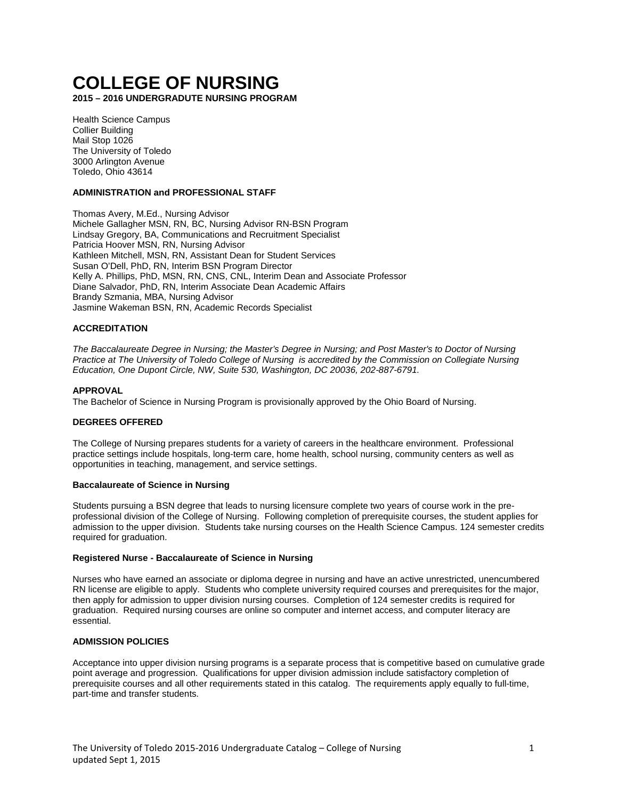# **COLLEGE OF NURSING**

**2015 – 2016 UNDERGRADUTE NURSING PROGRAM**

Health Science Campus Collier Building Mail Stop 1026 The University of Toledo 3000 Arlington Avenue Toledo, Ohio 43614

# **ADMINISTRATION and PROFESSIONAL STAFF**

Thomas Avery, M.Ed., Nursing Advisor Michele Gallagher MSN, RN, BC, Nursing Advisor RN-BSN Program Lindsay Gregory, BA, Communications and Recruitment Specialist Patricia Hoover MSN, RN, Nursing Advisor Kathleen Mitchell, MSN, RN, Assistant Dean for Student Services Susan O'Dell, PhD, RN, Interim BSN Program Director Kelly A. Phillips, PhD, MSN, RN, CNS, CNL, Interim Dean and Associate Professor Diane Salvador, PhD, RN, Interim Associate Dean Academic Affairs Brandy Szmania, MBA, Nursing Advisor Jasmine Wakeman BSN, RN, Academic Records Specialist

# **ACCREDITATION**

*The Baccalaureate Degree in Nursing; the Master's Degree in Nursing; and Post Master's to Doctor of Nursing Practice at The University of Toledo College of Nursing is accredited by the Commission on Collegiate Nursing Education, One Dupont Circle, NW, Suite 530, Washington, DC 20036, 202-887-6791.*

#### **APPROVAL**

The Bachelor of Science in Nursing Program is provisionally approved by the Ohio Board of Nursing.

## **DEGREES OFFERED**

The College of Nursing prepares students for a variety of careers in the healthcare environment. Professional practice settings include hospitals, long-term care, home health, school nursing, community centers as well as opportunities in teaching, management, and service settings.

## **Baccalaureate of Science in Nursing**

Students pursuing a BSN degree that leads to nursing licensure complete two years of course work in the preprofessional division of the College of Nursing. Following completion of prerequisite courses, the student applies for admission to the upper division. Students take nursing courses on the Health Science Campus. 124 semester credits required for graduation.

## **Registered Nurse - Baccalaureate of Science in Nursing**

Nurses who have earned an associate or diploma degree in nursing and have an active unrestricted, unencumbered RN license are eligible to apply. Students who complete university required courses and prerequisites for the major, then apply for admission to upper division nursing courses. Completion of 124 semester credits is required for graduation. Required nursing courses are online so computer and internet access, and computer literacy are essential.

#### **ADMISSION POLICIES**

Acceptance into upper division nursing programs is a separate process that is competitive based on cumulative grade point average and progression. Qualifications for upper division admission include satisfactory completion of prerequisite courses and all other requirements stated in this catalog. The requirements apply equally to full-time, part-time and transfer students.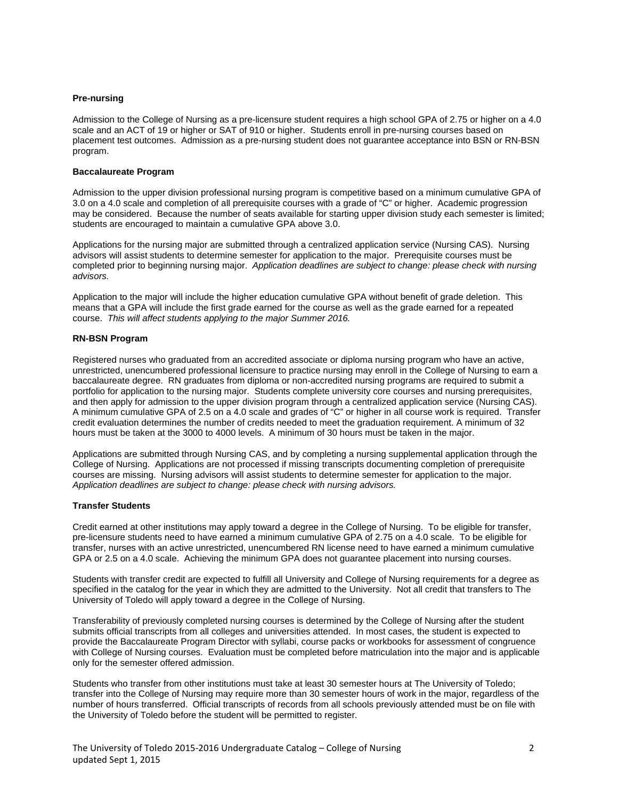## **Pre-nursing**

Admission to the College of Nursing as a pre-licensure student requires a high school GPA of 2.75 or higher on a 4.0 scale and an ACT of 19 or higher or SAT of 910 or higher. Students enroll in pre-nursing courses based on placement test outcomes. Admission as a pre-nursing student does not guarantee acceptance into BSN or RN-BSN program.

# **Baccalaureate Program**

Admission to the upper division professional nursing program is competitive based on a minimum cumulative GPA of 3.0 on a 4.0 scale and completion of all prerequisite courses with a grade of "C" or higher. Academic progression may be considered. Because the number of seats available for starting upper division study each semester is limited; students are encouraged to maintain a cumulative GPA above 3.0.

Applications for the nursing major are submitted through a centralized application service (Nursing CAS). Nursing advisors will assist students to determine semester for application to the major. Prerequisite courses must be completed prior to beginning nursing major. *Application deadlines are subject to change: please check with nursing advisors.*

Application to the major will include the higher education cumulative GPA without benefit of grade deletion. This means that a GPA will include the first grade earned for the course as well as the grade earned for a repeated course. *This will affect students applying to the major Summer 2016.*

# **RN-BSN Program**

Registered nurses who graduated from an accredited associate or diploma nursing program who have an active, unrestricted, unencumbered professional licensure to practice nursing may enroll in the College of Nursing to earn a baccalaureate degree. RN graduates from diploma or non-accredited nursing programs are required to submit a portfolio for application to the nursing major. Students complete university core courses and nursing prerequisites, and then apply for admission to the upper division program through a centralized application service (Nursing CAS). A minimum cumulative GPA of 2.5 on a 4.0 scale and grades of "C" or higher in all course work is required. Transfer credit evaluation determines the number of credits needed to meet the graduation requirement. A minimum of 32 hours must be taken at the 3000 to 4000 levels. A minimum of 30 hours must be taken in the major.

Applications are submitted through Nursing CAS, and by completing a nursing supplemental application through the College of Nursing. Applications are not processed if missing transcripts documenting completion of prerequisite courses are missing. Nursing advisors will assist students to determine semester for application to the major. *Application deadlines are subject to change: please check with nursing advisors.*

# **Transfer Students**

Credit earned at other institutions may apply toward a degree in the College of Nursing. To be eligible for transfer, pre-licensure students need to have earned a minimum cumulative GPA of 2.75 on a 4.0 scale. To be eligible for transfer, nurses with an active unrestricted, unencumbered RN license need to have earned a minimum cumulative GPA or 2.5 on a 4.0 scale. Achieving the minimum GPA does not guarantee placement into nursing courses.

Students with transfer credit are expected to fulfill all University and College of Nursing requirements for a degree as specified in the catalog for the year in which they are admitted to the University. Not all credit that transfers to The University of Toledo will apply toward a degree in the College of Nursing.

Transferability of previously completed nursing courses is determined by the College of Nursing after the student submits official transcripts from all colleges and universities attended. In most cases, the student is expected to provide the Baccalaureate Program Director with syllabi, course packs or workbooks for assessment of congruence with College of Nursing courses. Evaluation must be completed before matriculation into the major and is applicable only for the semester offered admission.

Students who transfer from other institutions must take at least 30 semester hours at The University of Toledo; transfer into the College of Nursing may require more than 30 semester hours of work in the major, regardless of the number of hours transferred. Official transcripts of records from all schools previously attended must be on file with the University of Toledo before the student will be permitted to register.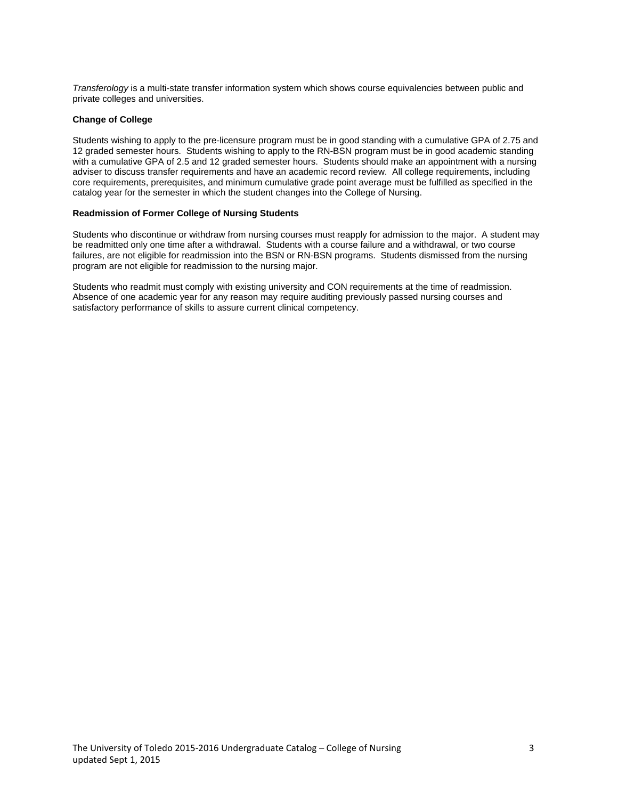*Transferology* is a multi-state transfer information system which shows course equivalencies between public and private colleges and universities.

# **Change of College**

Students wishing to apply to the pre-licensure program must be in good standing with a cumulative GPA of 2.75 and 12 graded semester hours. Students wishing to apply to the RN-BSN program must be in good academic standing with a cumulative GPA of 2.5 and 12 graded semester hours. Students should make an appointment with a nursing adviser to discuss transfer requirements and have an academic record review. All college requirements, including core requirements, prerequisites, and minimum cumulative grade point average must be fulfilled as specified in the catalog year for the semester in which the student changes into the College of Nursing.

#### **Readmission of Former College of Nursing Students**

Students who discontinue or withdraw from nursing courses must reapply for admission to the major. A student may be readmitted only one time after a withdrawal. Students with a course failure and a withdrawal, or two course failures, are not eligible for readmission into the BSN or RN-BSN programs. Students dismissed from the nursing program are not eligible for readmission to the nursing major.

Students who readmit must comply with existing university and CON requirements at the time of readmission. Absence of one academic year for any reason may require auditing previously passed nursing courses and satisfactory performance of skills to assure current clinical competency.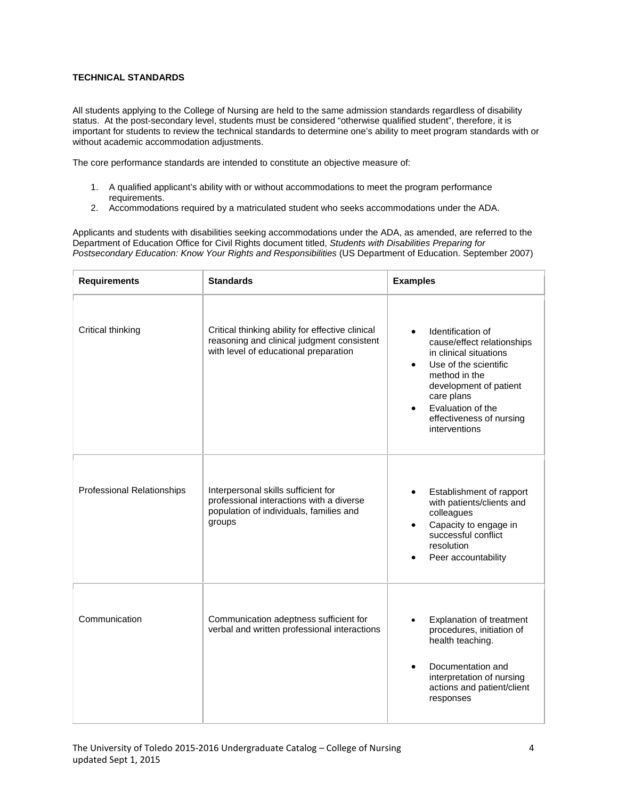# **TECHNICAL STANDARDS**

All students applying to the College of Nursing are held to the same admission standards regardless of disability status. At the post-secondary level, students must be considered "otherwise qualified student", therefore, it is important for students to review the technical standards to determine one's ability to meet program standards with or without academic accommodation adjustments.

The core performance standards are intended to constitute an objective measure of:

- 1. A qualified applicant's ability with or without accommodations to meet the program performance requirements.
- 2. Accommodations required by a matriculated student who seeks accommodations under the ADA.

Applicants and students with disabilities seeking accommodations under the ADA, as amended, are referred to the Department of Education Office for Civil Rights document titled, *Students with Disabilities Preparing for Postsecondary Education: Know Your Rights and Responsibilities* (US Department of Education. September 2007)

| <b>Requirements</b>               | <b>Standards</b>                                                                                                                        | <b>Examples</b>                                                                                                                                                                                                                                         |
|-----------------------------------|-----------------------------------------------------------------------------------------------------------------------------------------|---------------------------------------------------------------------------------------------------------------------------------------------------------------------------------------------------------------------------------------------------------|
| Critical thinking                 | Critical thinking ability for effective clinical<br>reasoning and clinical judgment consistent<br>with level of educational preparation | Identification of<br>cause/effect relationships<br>in clinical situations<br>Use of the scientific<br>$\bullet$<br>method in the<br>development of patient<br>care plans<br>Evaluation of the<br>$\bullet$<br>effectiveness of nursing<br>interventions |
| <b>Professional Relationships</b> | Interpersonal skills sufficient for<br>professional interactions with a diverse<br>population of individuals, families and<br>groups    | Establishment of rapport<br>$\bullet$<br>with patients/clients and<br>colleagues<br>Capacity to engage in<br>successful conflict<br>resolution<br>Peer accountability                                                                                   |
| Communication                     | Communication adeptness sufficient for<br>verbal and written professional interactions                                                  | Explanation of treatment<br>procedures, initiation of<br>health teaching.<br>Documentation and<br>$\bullet$<br>interpretation of nursing<br>actions and patient/client<br>responses                                                                     |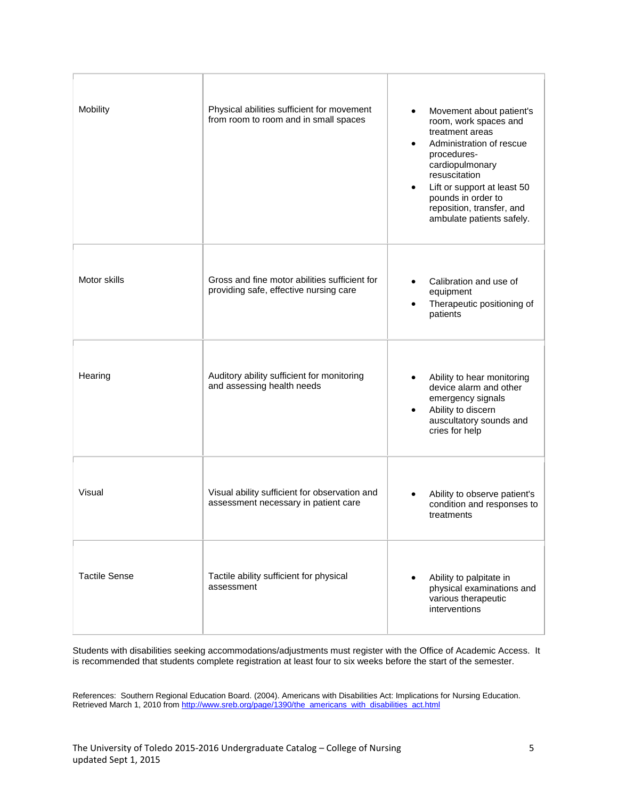| Mobility             | Physical abilities sufficient for movement<br>from room to room and in small spaces     | Movement about patient's<br>room, work spaces and                                                                                                                                                             |
|----------------------|-----------------------------------------------------------------------------------------|---------------------------------------------------------------------------------------------------------------------------------------------------------------------------------------------------------------|
|                      |                                                                                         | treatment areas<br>Administration of rescue<br>procedures-<br>cardiopulmonary<br>resuscitation<br>Lift or support at least 50<br>pounds in order to<br>reposition, transfer, and<br>ambulate patients safely. |
| Motor skills         | Gross and fine motor abilities sufficient for<br>providing safe, effective nursing care | Calibration and use of<br>equipment<br>Therapeutic positioning of<br>patients                                                                                                                                 |
| Hearing              | Auditory ability sufficient for monitoring<br>and assessing health needs                | Ability to hear monitoring<br>device alarm and other<br>emergency signals<br>Ability to discern<br>auscultatory sounds and<br>cries for help                                                                  |
| Visual               | Visual ability sufficient for observation and<br>assessment necessary in patient care   | Ability to observe patient's<br>condition and responses to<br>treatments                                                                                                                                      |
| <b>Tactile Sense</b> | Tactile ability sufficient for physical<br>assessment                                   | Ability to palpitate in<br>physical examinations and<br>various therapeutic<br>interventions                                                                                                                  |

Students with disabilities seeking accommodations/adjustments must register with the Office of Academic Access. It is recommended that students complete registration at least four to six weeks before the start of the semester.

References: Southern Regional Education Board. (2004). Americans with Disabilities Act: Implications for Nursing Education. Retrieved March 1, 2010 from <u>http://www.sreb.org/page/1390/the\_americans\_with\_disabilities\_act.html</u>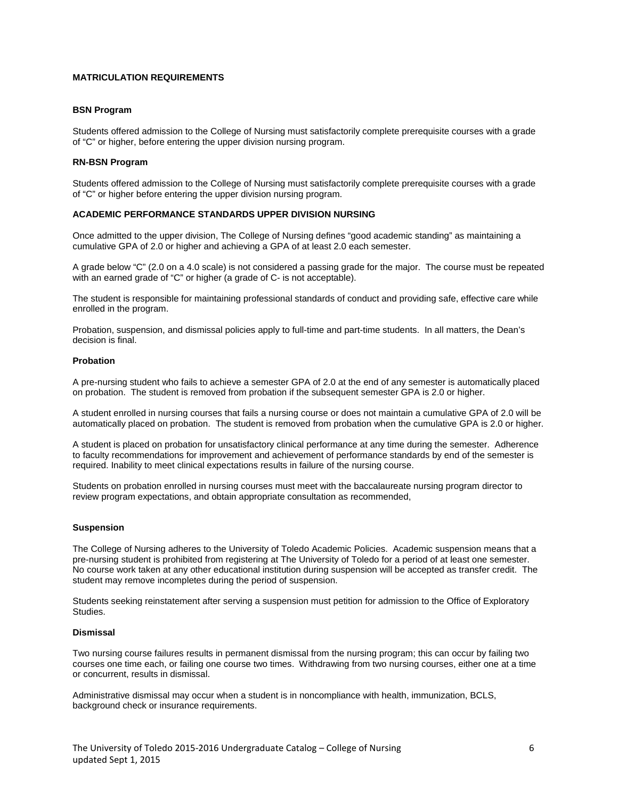# **MATRICULATION REQUIREMENTS**

## **BSN Program**

Students offered admission to the College of Nursing must satisfactorily complete prerequisite courses with a grade of "C" or higher, before entering the upper division nursing program.

## **RN-BSN Program**

Students offered admission to the College of Nursing must satisfactorily complete prerequisite courses with a grade of "C" or higher before entering the upper division nursing program.

## **ACADEMIC PERFORMANCE STANDARDS UPPER DIVISION NURSING**

Once admitted to the upper division, The College of Nursing defines "good academic standing" as maintaining a cumulative GPA of 2.0 or higher and achieving a GPA of at least 2.0 each semester.

A grade below "C" (2.0 on a 4.0 scale) is not considered a passing grade for the major. The course must be repeated with an earned grade of "C" or higher (a grade of C- is not acceptable).

The student is responsible for maintaining professional standards of conduct and providing safe, effective care while enrolled in the program.

Probation, suspension, and dismissal policies apply to full-time and part-time students. In all matters, the Dean's decision is final.

# **Probation**

A pre-nursing student who fails to achieve a semester GPA of 2.0 at the end of any semester is automatically placed on probation. The student is removed from probation if the subsequent semester GPA is 2.0 or higher.

A student enrolled in nursing courses that fails a nursing course or does not maintain a cumulative GPA of 2.0 will be automatically placed on probation. The student is removed from probation when the cumulative GPA is 2.0 or higher.

A student is placed on probation for unsatisfactory clinical performance at any time during the semester. Adherence to faculty recommendations for improvement and achievement of performance standards by end of the semester is required. Inability to meet clinical expectations results in failure of the nursing course.

Students on probation enrolled in nursing courses must meet with the baccalaureate nursing program director to review program expectations, and obtain appropriate consultation as recommended,

## **Suspension**

The College of Nursing adheres to the University of Toledo Academic Policies. Academic suspension means that a pre-nursing student is prohibited from registering at The University of Toledo for a period of at least one semester. No course work taken at any other educational institution during suspension will be accepted as transfer credit. The student may remove incompletes during the period of suspension.

Students seeking reinstatement after serving a suspension must petition for admission to the Office of Exploratory Studies.

## **Dismissal**

Two nursing course failures results in permanent dismissal from the nursing program; this can occur by failing two courses one time each, or failing one course two times. Withdrawing from two nursing courses, either one at a time or concurrent, results in dismissal.

Administrative dismissal may occur when a student is in noncompliance with health, immunization, BCLS, background check or insurance requirements.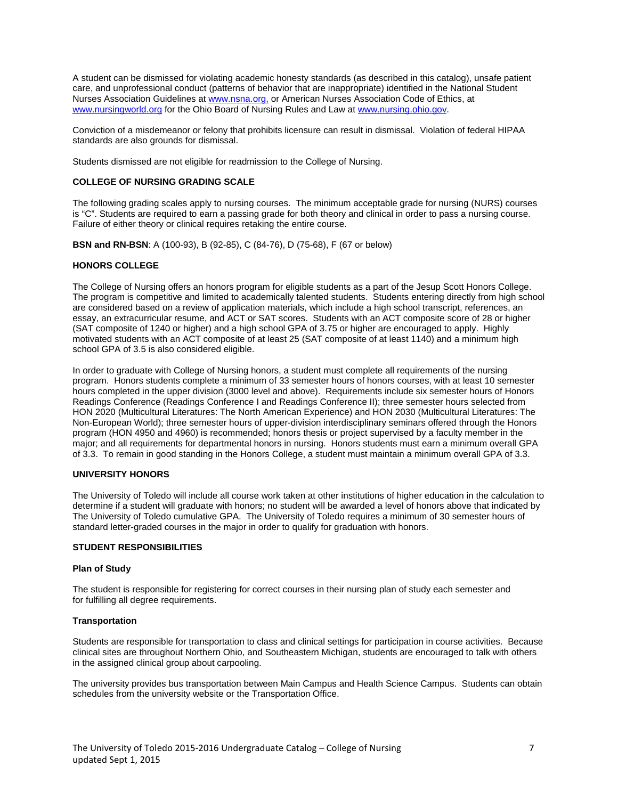A student can be dismissed for violating academic honesty standards (as described in this catalog), unsafe patient care, and unprofessional conduct (patterns of behavior that are inappropriate) identified in the National Student Nurses Association Guidelines a[t www.nsna.org,](file://utad.utoledo.edu/DFS$/Volumes/dpasch/word/BSN-Undergrad%20Program%20Documents/www.nsna.org,%20) or American Nurses Association Code of Ethics, at [www.nursingworld.org](http://www.nursingworld.org/) for the Ohio Board of Nursing Rules and Law a[t www.nursing.ohio.gov.](http://www.nursing.ohio.gov/)

Conviction of a misdemeanor or felony that prohibits licensure can result in dismissal. Violation of federal HIPAA standards are also grounds for dismissal.

Students dismissed are not eligible for readmission to the College of Nursing.

# **COLLEGE OF NURSING GRADING SCALE**

The following grading scales apply to nursing courses. The minimum acceptable grade for nursing (NURS) courses is "C". Students are required to earn a passing grade for both theory and clinical in order to pass a nursing course. Failure of either theory or clinical requires retaking the entire course.

**BSN and RN-BSN**: A (100-93), B (92-85), C (84-76), D (75-68), F (67 or below)

# **HONORS COLLEGE**

The College of Nursing offers an honors program for eligible students as a part of the Jesup Scott Honors College. The program is competitive and limited to academically talented students. Students entering directly from high school are considered based on a review of application materials, which include a high school transcript, references, an essay, an extracurricular resume, and ACT or SAT scores. Students with an ACT composite score of 28 or higher (SAT composite of 1240 or higher) and a high school GPA of 3.75 or higher are encouraged to apply. Highly motivated students with an ACT composite of at least 25 (SAT composite of at least 1140) and a minimum high school GPA of 3.5 is also considered eligible.

In order to graduate with College of Nursing honors, a student must complete all requirements of the nursing program. Honors students complete a minimum of 33 semester hours of honors courses, with at least 10 semester hours completed in the upper division (3000 level and above). Requirements include six semester hours of Honors Readings Conference (Readings Conference I and Readings Conference II); three semester hours selected from HON 2020 (Multicultural Literatures: The North American Experience) and HON 2030 (Multicultural Literatures: The Non-European World); three semester hours of upper-division interdisciplinary seminars offered through the Honors program (HON 4950 and 4960) is recommended; honors thesis or project supervised by a faculty member in the major; and all requirements for departmental honors in nursing. Honors students must earn a minimum overall GPA of 3.3. To remain in good standing in the Honors College, a student must maintain a minimum overall GPA of 3.3.

# **UNIVERSITY HONORS**

The University of Toledo will include all course work taken at other institutions of higher education in the calculation to determine if a student will graduate with honors; no student will be awarded a level of honors above that indicated by The University of Toledo cumulative GPA. The University of Toledo requires a minimum of 30 semester hours of standard letter-graded courses in the major in order to qualify for graduation with honors.

#### **STUDENT RESPONSIBILITIES**

#### **Plan of Study**

The student is responsible for registering for correct courses in their nursing plan of study each semester and for fulfilling all degree requirements.

## **Transportation**

Students are responsible for transportation to class and clinical settings for participation in course activities. Because clinical sites are throughout Northern Ohio, and Southeastern Michigan, students are encouraged to talk with others in the assigned clinical group about carpooling.

The university provides bus transportation between Main Campus and Health Science Campus. Students can obtain schedules from the university website or the Transportation Office.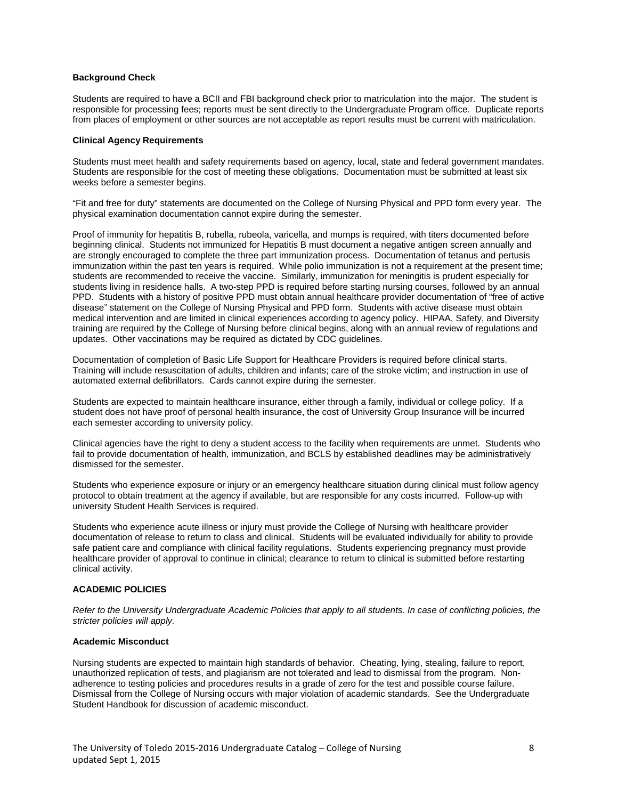## **Background Check**

Students are required to have a BCII and FBI background check prior to matriculation into the major. The student is responsible for processing fees; reports must be sent directly to the Undergraduate Program office. Duplicate reports from places of employment or other sources are not acceptable as report results must be current with matriculation.

## **Clinical Agency Requirements**

Students must meet health and safety requirements based on agency, local, state and federal government mandates. Students are responsible for the cost of meeting these obligations. Documentation must be submitted at least six weeks before a semester begins.

"Fit and free for duty" statements are documented on the College of Nursing Physical and PPD form every year. The physical examination documentation cannot expire during the semester.

Proof of immunity for hepatitis B, rubella, rubeola, varicella, and mumps is required, with titers documented before beginning clinical. Students not immunized for Hepatitis B must document a negative antigen screen annually and are strongly encouraged to complete the three part immunization process. Documentation of tetanus and pertusis immunization within the past ten years is required. While polio immunization is not a requirement at the present time; students are recommended to receive the vaccine. Similarly, immunization for meningitis is prudent especially for students living in residence halls. A two-step PPD is required before starting nursing courses, followed by an annual PPD. Students with a history of positive PPD must obtain annual healthcare provider documentation of "free of active disease" statement on the College of Nursing Physical and PPD form. Students with active disease must obtain medical intervention and are limited in clinical experiences according to agency policy. HIPAA, Safety, and Diversity training are required by the College of Nursing before clinical begins, along with an annual review of regulations and updates. Other vaccinations may be required as dictated by CDC guidelines.

Documentation of completion of Basic Life Support for Healthcare Providers is required before clinical starts. Training will include resuscitation of adults, children and infants; care of the stroke victim; and instruction in use of automated external defibrillators. Cards cannot expire during the semester.

Students are expected to maintain healthcare insurance, either through a family, individual or college policy. If a student does not have proof of personal health insurance, the cost of University Group Insurance will be incurred each semester according to university policy.

Clinical agencies have the right to deny a student access to the facility when requirements are unmet. Students who fail to provide documentation of health, immunization, and BCLS by established deadlines may be administratively dismissed for the semester.

Students who experience exposure or injury or an emergency healthcare situation during clinical must follow agency protocol to obtain treatment at the agency if available, but are responsible for any costs incurred. Follow-up with university Student Health Services is required.

Students who experience acute illness or injury must provide the College of Nursing with healthcare provider documentation of release to return to class and clinical. Students will be evaluated individually for ability to provide safe patient care and compliance with clinical facility regulations. Students experiencing pregnancy must provide healthcare provider of approval to continue in clinical; clearance to return to clinical is submitted before restarting clinical activity.

# **ACADEMIC POLICIES**

*Refer to the University Undergraduate Academic Policies that apply to all students. In case of conflicting policies, the stricter policies will apply.*

#### **Academic Misconduct**

Nursing students are expected to maintain high standards of behavior. Cheating, lying, stealing, failure to report, unauthorized replication of tests, and plagiarism are not tolerated and lead to dismissal from the program. Nonadherence to testing policies and procedures results in a grade of zero for the test and possible course failure. Dismissal from the College of Nursing occurs with major violation of academic standards. See the Undergraduate Student Handbook for discussion of academic misconduct.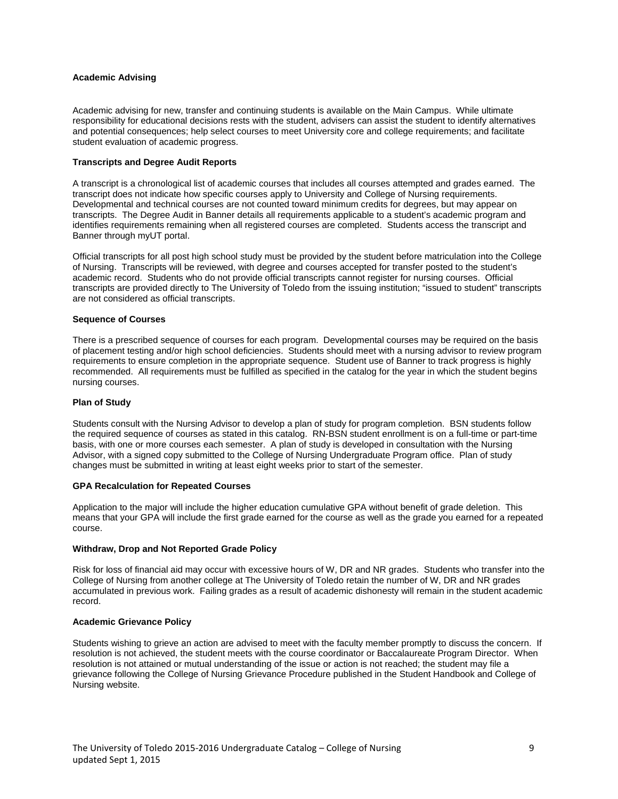# **Academic Advising**

Academic advising for new, transfer and continuing students is available on the Main Campus. While ultimate responsibility for educational decisions rests with the student, advisers can assist the student to identify alternatives and potential consequences; help select courses to meet University core and college requirements; and facilitate student evaluation of academic progress.

## **Transcripts and Degree Audit Reports**

A transcript is a chronological list of academic courses that includes all courses attempted and grades earned. The transcript does not indicate how specific courses apply to University and College of Nursing requirements. Developmental and technical courses are not counted toward minimum credits for degrees, but may appear on transcripts. The Degree Audit in Banner details all requirements applicable to a student's academic program and identifies requirements remaining when all registered courses are completed. Students access the transcript and Banner through myUT portal.

Official transcripts for all post high school study must be provided by the student before matriculation into the College of Nursing. Transcripts will be reviewed, with degree and courses accepted for transfer posted to the student's academic record. Students who do not provide official transcripts cannot register for nursing courses. Official transcripts are provided directly to The University of Toledo from the issuing institution; "issued to student" transcripts are not considered as official transcripts.

#### **Sequence of Courses**

There is a prescribed sequence of courses for each program. Developmental courses may be required on the basis of placement testing and/or high school deficiencies. Students should meet with a nursing advisor to review program requirements to ensure completion in the appropriate sequence. Student use of Banner to track progress is highly recommended. All requirements must be fulfilled as specified in the catalog for the year in which the student begins nursing courses.

## **Plan of Study**

Students consult with the Nursing Advisor to develop a plan of study for program completion. BSN students follow the required sequence of courses as stated in this catalog. RN-BSN student enrollment is on a full-time or part-time basis, with one or more courses each semester. A plan of study is developed in consultation with the Nursing Advisor, with a signed copy submitted to the College of Nursing Undergraduate Program office. Plan of study changes must be submitted in writing at least eight weeks prior to start of the semester.

#### **GPA Recalculation for Repeated Courses**

Application to the major will include the higher education cumulative GPA without benefit of grade deletion. This means that your GPA will include the first grade earned for the course as well as the grade you earned for a repeated course.

# **Withdraw, Drop and Not Reported Grade Policy**

Risk for loss of financial aid may occur with excessive hours of W, DR and NR grades. Students who transfer into the College of Nursing from another college at The University of Toledo retain the number of W, DR and NR grades accumulated in previous work. Failing grades as a result of academic dishonesty will remain in the student academic record.

#### **Academic Grievance Policy**

Students wishing to grieve an action are advised to meet with the faculty member promptly to discuss the concern. If resolution is not achieved, the student meets with the course coordinator or Baccalaureate Program Director. When resolution is not attained or mutual understanding of the issue or action is not reached; the student may file a grievance following the College of Nursing Grievance Procedure published in the Student Handbook and College of Nursing website.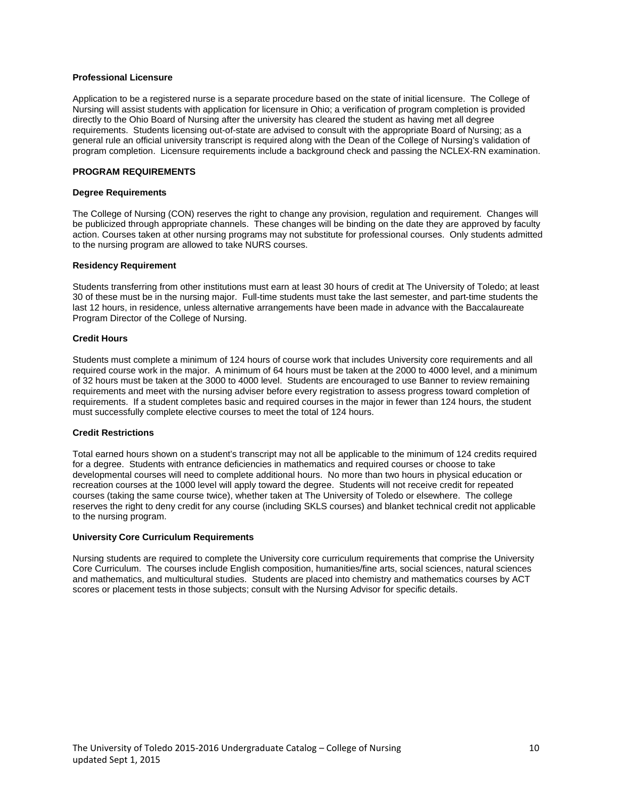## **Professional Licensure**

Application to be a registered nurse is a separate procedure based on the state of initial licensure. The College of Nursing will assist students with application for licensure in Ohio; a verification of program completion is provided directly to the Ohio Board of Nursing after the university has cleared the student as having met all degree requirements. Students licensing out-of-state are advised to consult with the appropriate Board of Nursing; as a general rule an official university transcript is required along with the Dean of the College of Nursing's validation of program completion. Licensure requirements include a background check and passing the NCLEX-RN examination.

# **PROGRAM REQUIREMENTS**

## **Degree Requirements**

The College of Nursing (CON) reserves the right to change any provision, regulation and requirement. Changes will be publicized through appropriate channels. These changes will be binding on the date they are approved by faculty action. Courses taken at other nursing programs may not substitute for professional courses. Only students admitted to the nursing program are allowed to take NURS courses.

# **Residency Requirement**

Students transferring from other institutions must earn at least 30 hours of credit at The University of Toledo; at least 30 of these must be in the nursing major. Full-time students must take the last semester, and part-time students the last 12 hours, in residence, unless alternative arrangements have been made in advance with the Baccalaureate Program Director of the College of Nursing.

# **Credit Hours**

Students must complete a minimum of 124 hours of course work that includes University core requirements and all required course work in the major. A minimum of 64 hours must be taken at the 2000 to 4000 level, and a minimum of 32 hours must be taken at the 3000 to 4000 level. Students are encouraged to use Banner to review remaining requirements and meet with the nursing adviser before every registration to assess progress toward completion of requirements. If a student completes basic and required courses in the major in fewer than 124 hours, the student must successfully complete elective courses to meet the total of 124 hours.

# **Credit Restrictions**

Total earned hours shown on a student's transcript may not all be applicable to the minimum of 124 credits required for a degree. Students with entrance deficiencies in mathematics and required courses or choose to take developmental courses will need to complete additional hours. No more than two hours in physical education or recreation courses at the 1000 level will apply toward the degree. Students will not receive credit for repeated courses (taking the same course twice), whether taken at The University of Toledo or elsewhere. The college reserves the right to deny credit for any course (including SKLS courses) and blanket technical credit not applicable to the nursing program.

#### **University Core Curriculum Requirements**

Nursing students are required to complete the University core curriculum requirements that comprise the University Core Curriculum. The courses include English composition, humanities/fine arts, social sciences, natural sciences and mathematics, and multicultural studies. Students are placed into chemistry and mathematics courses by ACT scores or placement tests in those subjects; consult with the Nursing Advisor for specific details.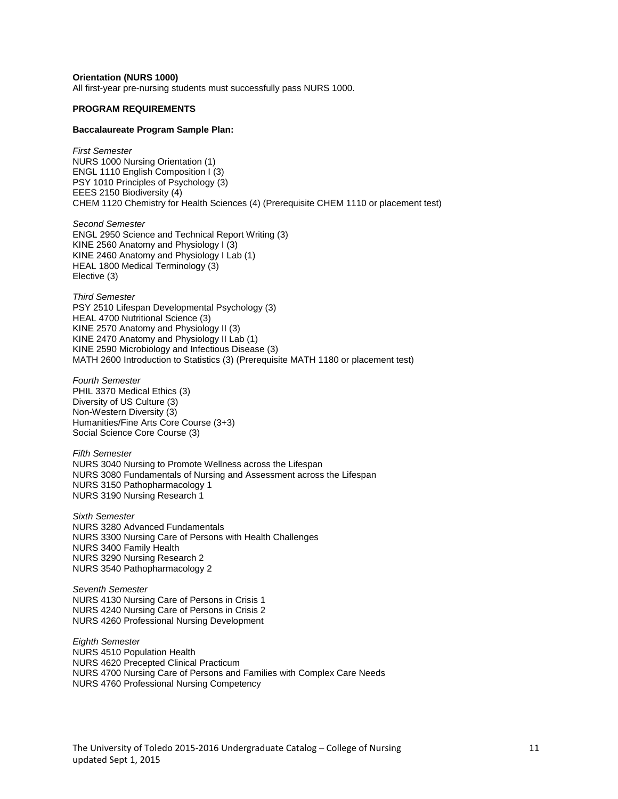**Orientation (NURS 1000)**

All first-year pre-nursing students must successfully pass NURS 1000.

#### **PROGRAM REQUIREMENTS**

#### **Baccalaureate Program Sample Plan:**

*First Semester* NURS 1000 Nursing Orientation (1) ENGL 1110 English Composition I (3) PSY 1010 Principles of Psychology (3) EEES 2150 Biodiversity (4) CHEM 1120 Chemistry for Health Sciences (4) (Prerequisite CHEM 1110 or placement test)

*Second Semester* ENGL 2950 Science and Technical Report Writing (3) KINE 2560 Anatomy and Physiology I (3) KINE 2460 Anatomy and Physiology I Lab (1) HEAL 1800 Medical Terminology (3) Elective (3)

*Third Semester* PSY 2510 Lifespan Developmental Psychology (3) HEAL 4700 Nutritional Science (3) KINE 2570 Anatomy and Physiology II (3) KINE 2470 Anatomy and Physiology II Lab (1) KINE 2590 Microbiology and Infectious Disease (3) MATH 2600 Introduction to Statistics (3) (Prerequisite MATH 1180 or placement test)

*Fourth Semester* PHIL 3370 Medical Ethics (3) Diversity of US Culture (3) Non-Western Diversity (3) Humanities/Fine Arts Core Course (3+3) Social Science Core Course (3)

*Fifth Semester* NURS 3040 Nursing to Promote Wellness across the Lifespan NURS 3080 Fundamentals of Nursing and Assessment across the Lifespan NURS 3150 Pathopharmacology 1 NURS 3190 Nursing Research 1

*Sixth Semester* NURS 3280 Advanced Fundamentals NURS 3300 Nursing Care of Persons with Health Challenges NURS 3400 Family Health NURS 3290 Nursing Research 2 NURS 3540 Pathopharmacology 2

*Seventh Semester* NURS 4130 Nursing Care of Persons in Crisis 1 NURS 4240 Nursing Care of Persons in Crisis 2 NURS 4260 Professional Nursing Development

*Eighth Semester* NURS 4510 Population Health NURS 4620 Precepted Clinical Practicum NURS 4700 Nursing Care of Persons and Families with Complex Care Needs NURS 4760 Professional Nursing Competency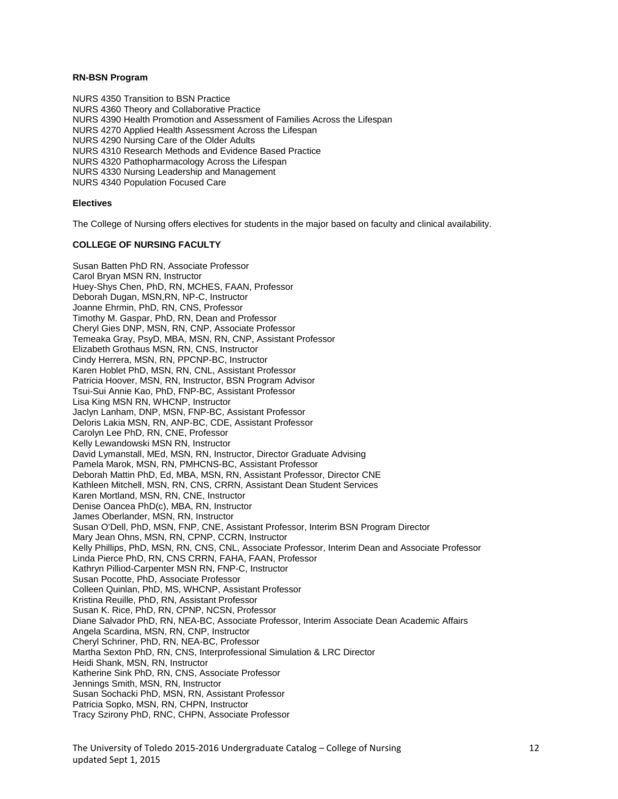# **RN-BSN Program**

NURS 4350 Transition to BSN Practice NURS 4360 Theory and Collaborative Practice NURS 4390 Health Promotion and Assessment of Families Across the Lifespan NURS 4270 Applied Health Assessment Across the Lifespan NURS 4290 Nursing Care of the Older Adults NURS 4310 Research Methods and Evidence Based Practice NURS 4320 Pathopharmacology Across the Lifespan NURS 4330 Nursing Leadership and Management NURS 4340 Population Focused Care

## **Electives**

The College of Nursing offers electives for students in the major based on faculty and clinical availability.

### **COLLEGE OF NURSING FACULTY**

Susan Batten PhD RN, Associate Professor Carol Bryan MSN RN, Instructor Huey-Shys Chen, PhD, RN, MCHES, FAAN, Professor Deborah Dugan, MSN,RN, NP-C, Instructor Joanne Ehrmin, PhD, RN, CNS, Professor Timothy M. Gaspar, PhD, RN, Dean and Professor Cheryl Gies DNP, MSN, RN, CNP, Associate Professor Temeaka Gray, PsyD, MBA, MSN, RN, CNP, Assistant Professor Elizabeth Grothaus MSN, RN, CNS, Instructor Cindy Herrera, MSN, RN, PPCNP-BC, Instructor Karen Hoblet PhD, MSN, RN, CNL, Assistant Professor Patricia Hoover, MSN, RN, Instructor, BSN Program Advisor Tsui-Sui Annie Kao, PhD, FNP-BC, Assistant Professor Lisa King MSN RN, WHCNP, Instructor Jaclyn Lanham, DNP, MSN, FNP-BC, Assistant Professor Deloris Lakia MSN, RN, ANP-BC, CDE, Assistant Professor Carolyn Lee PhD, RN, CNE, Professor Kelly Lewandowski MSN RN, Instructor David Lymanstall, MEd, MSN, RN, Instructor, Director Graduate Advising Pamela Marok, MSN, RN, PMHCNS-BC, Assistant Professor Deborah Mattin PhD, Ed, MBA, MSN, RN, Assistant Professor, Director CNE Kathleen Mitchell, MSN, RN, CNS, CRRN, Assistant Dean Student Services Karen Mortland, MSN, RN, CNE, Instructor Denise Oancea PhD(c), MBA, RN, Instructor James Oberlander, MSN, RN, Instructor Susan O'Dell, PhD, MSN, FNP, CNE, Assistant Professor, Interim BSN Program Director Mary Jean Ohns, MSN, RN, CPNP, CCRN, Instructor Kelly Phillips, PhD, MSN, RN, CNS, CNL, Associate Professor, Interim Dean and Associate Professor Linda Pierce PhD, RN, CNS CRRN, FAHA, FAAN, Professor Kathryn Pilliod-Carpenter MSN RN, FNP-C, Instructor Susan Pocotte, PhD, Associate Professor Colleen Quinlan, PhD, MS, WHCNP, Assistant Professor Kristina Reuille, PhD, RN, Assistant Professor Susan K. Rice, PhD, RN, CPNP, NCSN, Professor Diane Salvador PhD, RN, NEA-BC, Associate Professor, Interim Associate Dean Academic Affairs Angela Scardina, MSN, RN, CNP, Instructor Cheryl Schriner, PhD, RN, NEA-BC, Professor Martha Sexton PhD, RN, CNS, Interprofessional Simulation & LRC Director Heidi Shank, MSN, RN, Instructor Katherine Sink PhD, RN, CNS, Associate Professor Jennings Smith, MSN, RN, Instructor Susan Sochacki PhD, MSN, RN, Assistant Professor Patricia Sopko, MSN, RN, CHPN, Instructor Tracy Szirony PhD, RNC, CHPN, Associate Professor